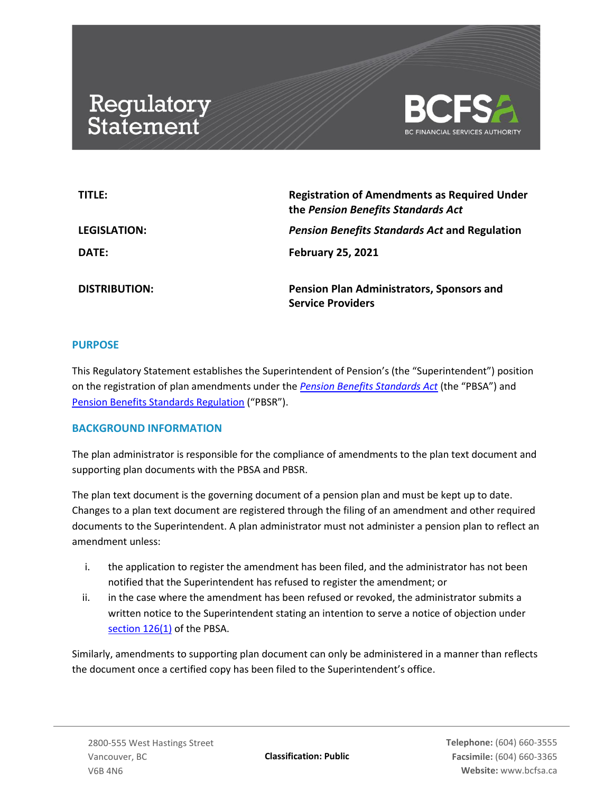# Regulatory<br>Statement



| TITLE:               | <b>Registration of Amendments as Required Under</b><br>the Pension Benefits Standards Act |
|----------------------|-------------------------------------------------------------------------------------------|
| LEGISLATION:         | <b>Pension Benefits Standards Act and Regulation</b>                                      |
| DATE:                | <b>February 25, 2021</b>                                                                  |
| <b>DISTRIBUTION:</b> | Pension Plan Administrators, Sponsors and<br><b>Service Providers</b>                     |

### **PURPOSE**

This Regulatory Statement establishes the Superintendent of Pension's (the "Superintendent") position on the registration of plan amendments under the *[Pension Benefits Standards Act](https://www.bclaws.gov.bc.ca/civix/document/id/complete/statreg/00_12030)* (the "PBSA") and [Pension Benefits Standards Regulation](https://www.bclaws.gov.bc.ca/civix/document/id/complete/statreg/71_2015) ("PBSR").

### **BACKGROUND INFORMATION**

The plan administrator is responsible for the compliance of amendments to the plan text document and supporting plan documents with the PBSA and PBSR.

The plan text document is the governing document of a pension plan and must be kept up to date. Changes to a plan text document are registered through the filing of an amendment and other required documents to the Superintendent. A plan administrator must not administer a pension plan to reflect an amendment unless:

- i. the application to register the amendment has been filed, and the administrator has not been notified that the Superintendent has refused to register the amendment; or
- ii. in the case where the amendment has been refused or revoked, the administrator submits a written notice to the Superintendent stating an intention to serve a notice of objection under [section 126\(1\)](https://www.bclaws.gov.bc.ca/civix/document/id/complete/statreg/00_12030#section126) of the PBSA.

Similarly, amendments to supporting plan document can only be administered in a manner than reflects the document once a certified copy has been filed to the Superintendent's office.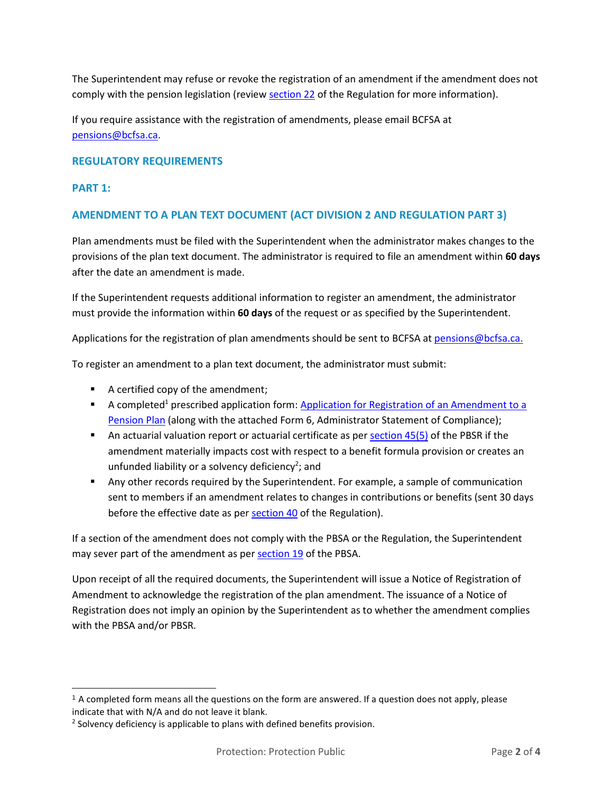The Superintendent may refuse or revoke the registration of an amendment if the amendment does not comply with the pension legislation (review [section 22](https://www.bclaws.gov.bc.ca/civix/document/id/complete/statreg/71_2015#section22) of the Regulation for more information).

If you require assistance with the registration of amendments, please email BCFSA at [pensions@bcfsa.ca.](mailto:pensions@bcfsa.ca)

## **REGULATORY REQUIREMENTS**

## **PART 1:**

## **AMENDMENT TO A PLAN TEXT DOCUMENT (ACT DIVISION 2 AND REGULATION PART 3)**

Plan amendments must be filed with the Superintendent when the administrator makes changes to the provisions of the plan text document. The administrator is required to file an amendment within **60 days** after the date an amendment is made.

If the Superintendent requests additional information to register an amendment, the administrator must provide the information within **60 days** of the request or as specified by the Superintendent.

Applications for the registration of plan amendments should be sent to BCFSA at [pensions@bcfsa.ca.](mailto:pensions@bcfsa.ca.)

To register an amendment to a plan text document, the administrator must submit:

- A certified copy of the amendment;
- A completed<sup>1</sup> prescribed application form: Application for Registration of an Amendment to a [Pension Plan](https://www.bcfsa.ca/pdf/Pensions/SOP-APP-AMEND_PTD-2015-002.pdf?v=2) (along with the attached Form 6, Administrator Statement of Compliance);
- An actuarial valuation report or actuarial certificate as pe[r section 45\(5\)](https://www.bclaws.gov.bc.ca/civix/document/id/complete/statreg/71_2015#section45) of the PBSR if the amendment materially impacts cost with respect to a benefit formula provision or creates an unfunded liability or a solvency deficiency<sup>2</sup>; and
- Any other records required by the Superintendent. For example, a sample of communication sent to members if an amendment relates to changes in contributions or benefits (sent 30 days before the effective date as per [section 40](https://www.bclaws.gov.bc.ca/civix/document/id/complete/statreg/71_2015#section40) of the Regulation).

If a section of the amendment does not comply with the PBSA or the Regulation, the Superintendent may sever part of the amendment as per [section 19](https://www.bclaws.gov.bc.ca/civix/document/id/complete/statreg/00_12030#section19) of the PBSA.

Upon receipt of all the required documents, the Superintendent will issue a Notice of Registration of Amendment to acknowledge the registration of the plan amendment. The issuance of a Notice of Registration does not imply an opinion by the Superintendent as to whether the amendment complies with the PBSA and/or PBSR.

 $<sup>1</sup>$  A completed form means all the questions on the form are answered. If a question does not apply, please</sup> indicate that with N/A and do not leave it blank.

 $2$  Solvency deficiency is applicable to plans with defined benefits provision.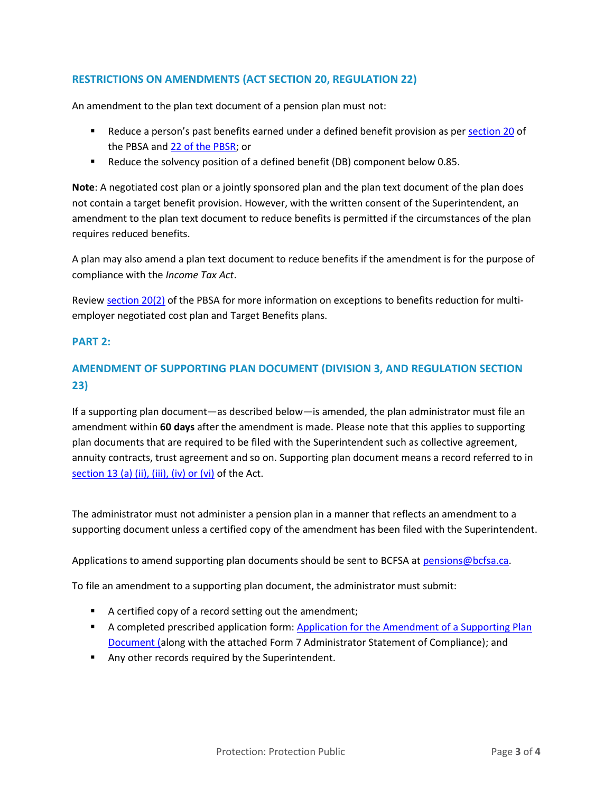## **RESTRICTIONS ON AMENDMENTS (ACT SECTION 20, REGULATION 22)**

An amendment to the plan text document of a pension plan must not:

- **EXECUTE:** Reduce a person's past benefits earned under a defined benefit provision as per [section 20](https://www.bclaws.gov.bc.ca/civix/document/id/complete/statreg/00_12030#section20) of the PBSA and [22 of the PBSR;](https://www.bclaws.gov.bc.ca/civix/document/id/complete/statreg/71_2015#section22) or
- Reduce the solvency position of a defined benefit (DB) component below 0.85.

**Note**: A negotiated cost plan or a jointly sponsored plan and the plan text document of the plan does not contain a target benefit provision. However, with the written consent of the Superintendent, an amendment to the plan text document to reduce benefits is permitted if the circumstances of the plan requires reduced benefits.

A plan may also amend a plan text document to reduce benefits if the amendment is for the purpose of compliance with the *Income Tax Act*.

Review [section 20\(2\)](https://www.bclaws.gov.bc.ca/civix/document/id/complete/statreg/00_12030#section20) of the PBSA for more information on exceptions to benefits reduction for multiemployer negotiated cost plan and Target Benefits plans.

#### **PART 2:**

## **AMENDMENT OF SUPPORTING PLAN DOCUMENT (DIVISION 3, AND REGULATION SECTION 23)**

If a supporting plan document—as described below—is amended, the plan administrator must file an amendment within **60 days** after the amendment is made. Please note that this applies to supporting plan documents that are required to be filed with the Superintendent such as collective agreement, annuity contracts, trust agreement and so on. Supporting plan document means a record referred to in [section 13 \(a\) \(ii\), \(iii\), \(iv\) or \(vi\)](https://www.bclaws.gov.bc.ca/civix/document/id/complete/statreg/00_12030#section13) of the Act.

The administrator must not administer a pension plan in a manner that reflects an amendment to a supporting document unless a certified copy of the amendment has been filed with the Superintendent.

Applications to amend supporting plan documents should be sent to BCFSA a[t pensions@bcfsa.ca.](mailto:pensions@bcfsa.ca)

To file an amendment to a supporting plan document, the administrator must submit:

- A certified copy of a record setting out the amendment;
- **EXECT** A completed prescribed application form: Application for the Amendment of a Supporting Plan [Document](https://www.bcfsa.ca/pdf/Pensions/SOP-APP-AMEND_SPD-2015-003.pdf) (along with the attached Form 7 Administrator Statement of Compliance); and
- Any other records required by the Superintendent.